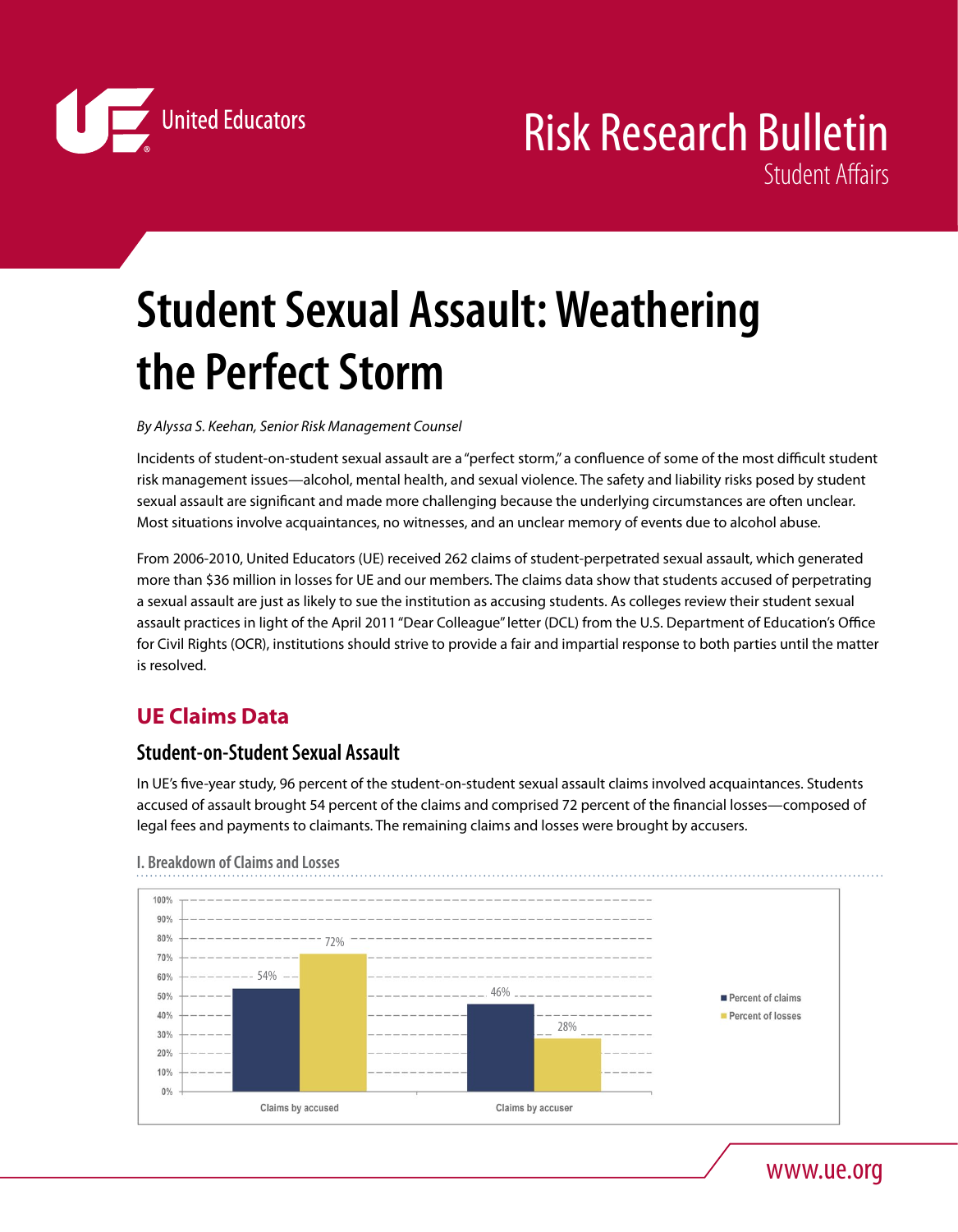

# **Student Sexual Assault: Weathering the Perfect Storm**

*By Alyssa S. Keehan, Senior Risk Management Counsel*

Incidents of student-on-student sexual assault are a "perfect storm," a confluence of some of the most difficult student risk management issues—alcohol, mental health, and sexual violence. The safety and liability risks posed by student sexual assault are significant and made more challenging because the underlying circumstances are often unclear. Most situations involve acquaintances, no witnesses, and an unclear memory of events due to alcohol abuse.

From 2006-2010, United Educators (UE) received 262 claims of student-perpetrated sexual assault, which generated more than \$36 million in losses for UE and our members. The claims data show that students accused of perpetrating a sexual assault are just as likely to sue the institution as accusing students. As colleges review their student sexual assault practices in light of the April 2011 "Dear Colleague" letter (DCL) from the U.S. Department of Education's Office for Civil Rights (OCR), institutions should strive to provide a fair and impartial response to both parties until the matter is resolved.

## **UE Claims Data**

## **Student-on-Student Sexual Assault**

In UE's five-year study, 96 percent of the student-on-student sexual assault claims involved acquaintances. Students accused of assault brought 54 percent of the claims and comprised 72 percent of the financial losses—composed of legal fees and payments to claimants. The remaining claims and losses were brought by accusers.



**I. Breakdown of Claims and Losses**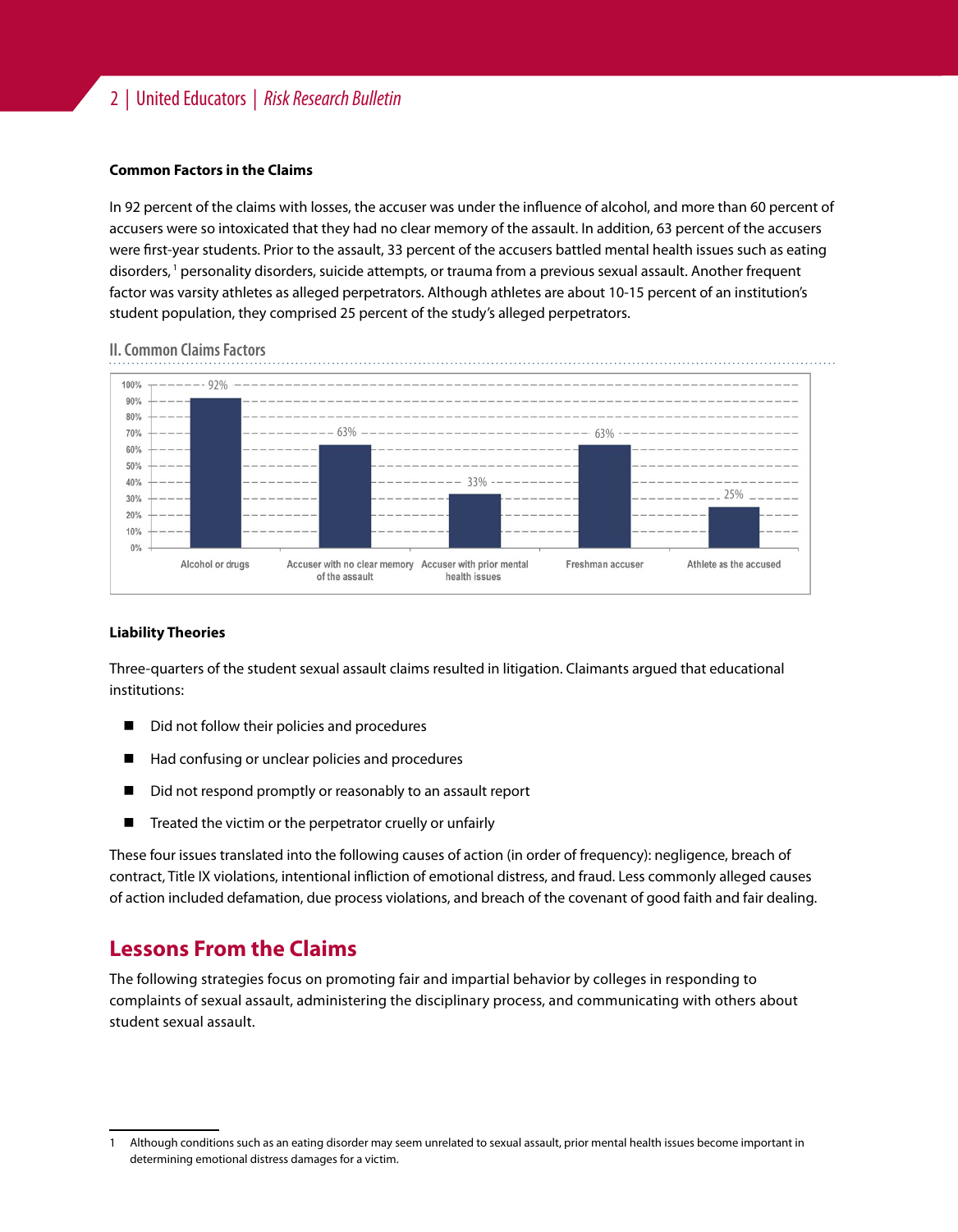## 2 | United Educators | *Risk Research Bulletin*

#### **Common Factors in the Claims**

In 92 percent of the claims with losses, the accuser was under the influence of alcohol, and more than 60 percent of accusers were so intoxicated that they had no clear memory of the assault. In addition, 63 percent of the accusers were first-year students. Prior to the assault, 33 percent of the accusers battled mental health issues such as eating disorders, <sup>1</sup> personality disorders, suicide attempts, or trauma from a previous sexual assault. Another frequent factor was varsity athletes as alleged perpetrators. Although athletes are about 10-15 percent of an institution's student population, they comprised 25 percent of the study's alleged perpetrators.



#### **II. Common Claims Factors**

#### **Liability Theories**

Three-quarters of the student sexual assault claims resulted in litigation. Claimants argued that educational institutions:

- Did not follow their policies and procedures
- Had confusing or unclear policies and procedures
- Did not respond promptly or reasonably to an assault report
- Treated the victim or the perpetrator cruelly or unfairly

These four issues translated into the following causes of action (in order of frequency): negligence, breach of contract, Title IX violations, intentional infliction of emotional distress, and fraud. Less commonly alleged causes of action included defamation, due process violations, and breach of the covenant of good faith and fair dealing.

## **Lessons From the Claims**

The following strategies focus on promoting fair and impartial behavior by colleges in responding to complaints of sexual assault, administering the disciplinary process, and communicating with others about student sexual assault.

<sup>1</sup> Although conditions such as an eating disorder may seem unrelated to sexual assault, prior mental health issues become important in determining emotional distress damages for a victim.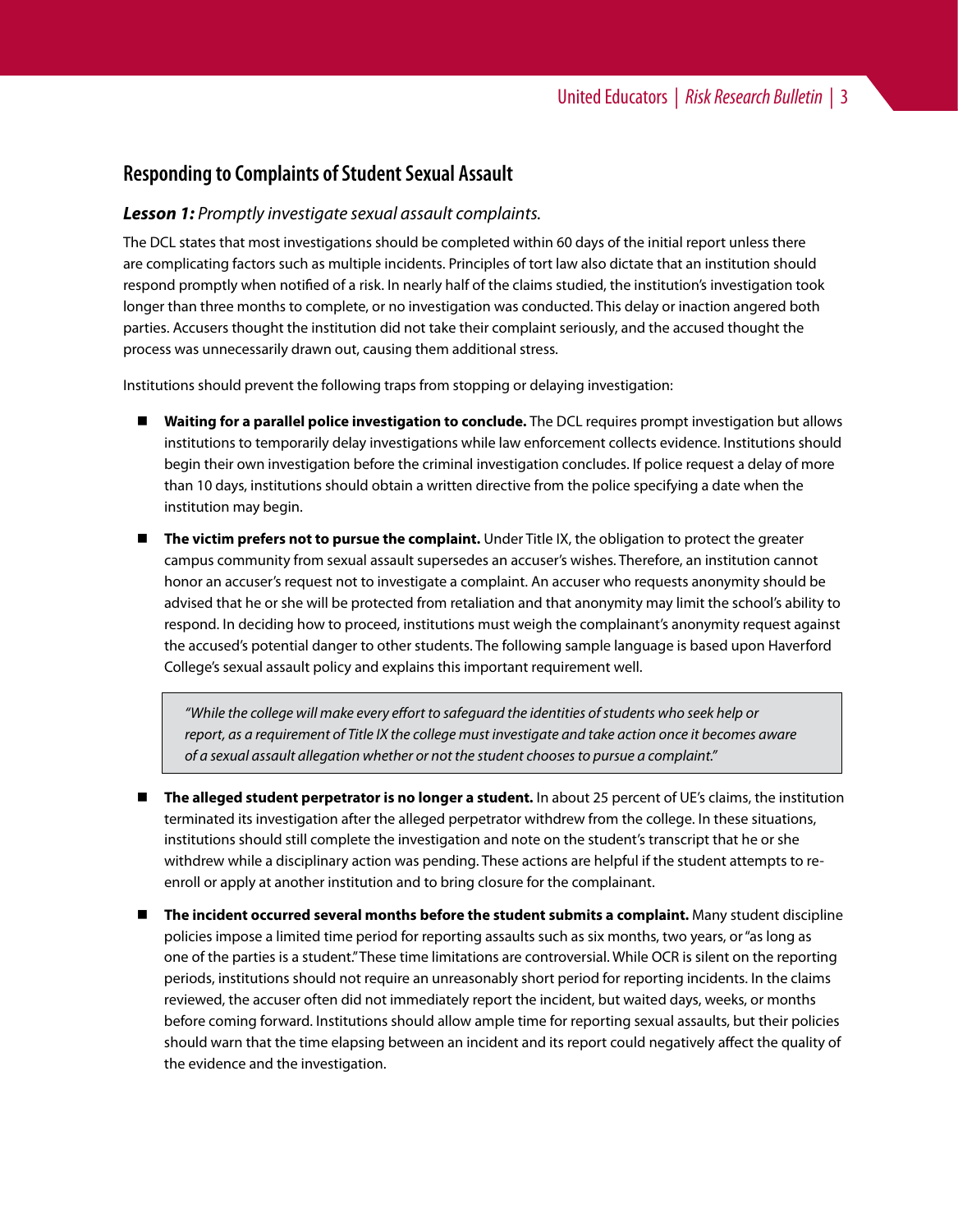## **Responding to Complaints of Student Sexual Assault**

### *Lesson 1: Promptly investigate sexual assault complaints.*

The DCL states that most investigations should be completed within 60 days of the initial report unless there are complicating factors such as multiple incidents. Principles of tort law also dictate that an institution should respond promptly when notified of a risk. In nearly half of the claims studied, the institution's investigation took longer than three months to complete, or no investigation was conducted. This delay or inaction angered both parties. Accusers thought the institution did not take their complaint seriously, and the accused thought the process was unnecessarily drawn out, causing them additional stress.

Institutions should prevent the following traps from stopping or delaying investigation:

- **Waiting for a parallel police investigation to conclude.** The DCL requires prompt investigation but allows institutions to temporarily delay investigations while law enforcement collects evidence. Institutions should begin their own investigation before the criminal investigation concludes. If police request a delay of more than 10 days, institutions should obtain a written directive from the police specifying a date when the institution may begin.
- **The victim prefers not to pursue the complaint.** Under Title IX, the obligation to protect the greater campus community from sexual assault supersedes an accuser's wishes. Therefore, an institution cannot honor an accuser's request not to investigate a complaint. An accuser who requests anonymity should be advised that he or she will be protected from retaliation and that anonymity may limit the school's ability to respond. In deciding how to proceed, institutions must weigh the complainant's anonymity request against the accused's potential danger to other students. The following sample language is based upon Haverford College's sexual assault policy and explains this important requirement well.

*"While the college will make every effort to safeguard the identities of students who seek help or report, as a requirement of Title IX the college must investigate and take action once it becomes aware of a sexual assault allegation whether or not the student chooses to pursue a complaint."*

- **The alleged student perpetrator is no longer a student.** In about 25 percent of UE's claims, the institution terminated its investigation after the alleged perpetrator withdrew from the college. In these situations, institutions should still complete the investigation and note on the student's transcript that he or she withdrew while a disciplinary action was pending. These actions are helpful if the student attempts to reenroll or apply at another institution and to bring closure for the complainant.
- **The incident occurred several months before the student submits a complaint.** Many student discipline policies impose a limited time period for reporting assaults such as six months, two years, or "as long as one of the parties is a student." These time limitations are controversial. While OCR is silent on the reporting periods, institutions should not require an unreasonably short period for reporting incidents. In the claims reviewed, the accuser often did not immediately report the incident, but waited days, weeks, or months before coming forward. Institutions should allow ample time for reporting sexual assaults, but their policies should warn that the time elapsing between an incident and its report could negatively affect the quality of the evidence and the investigation.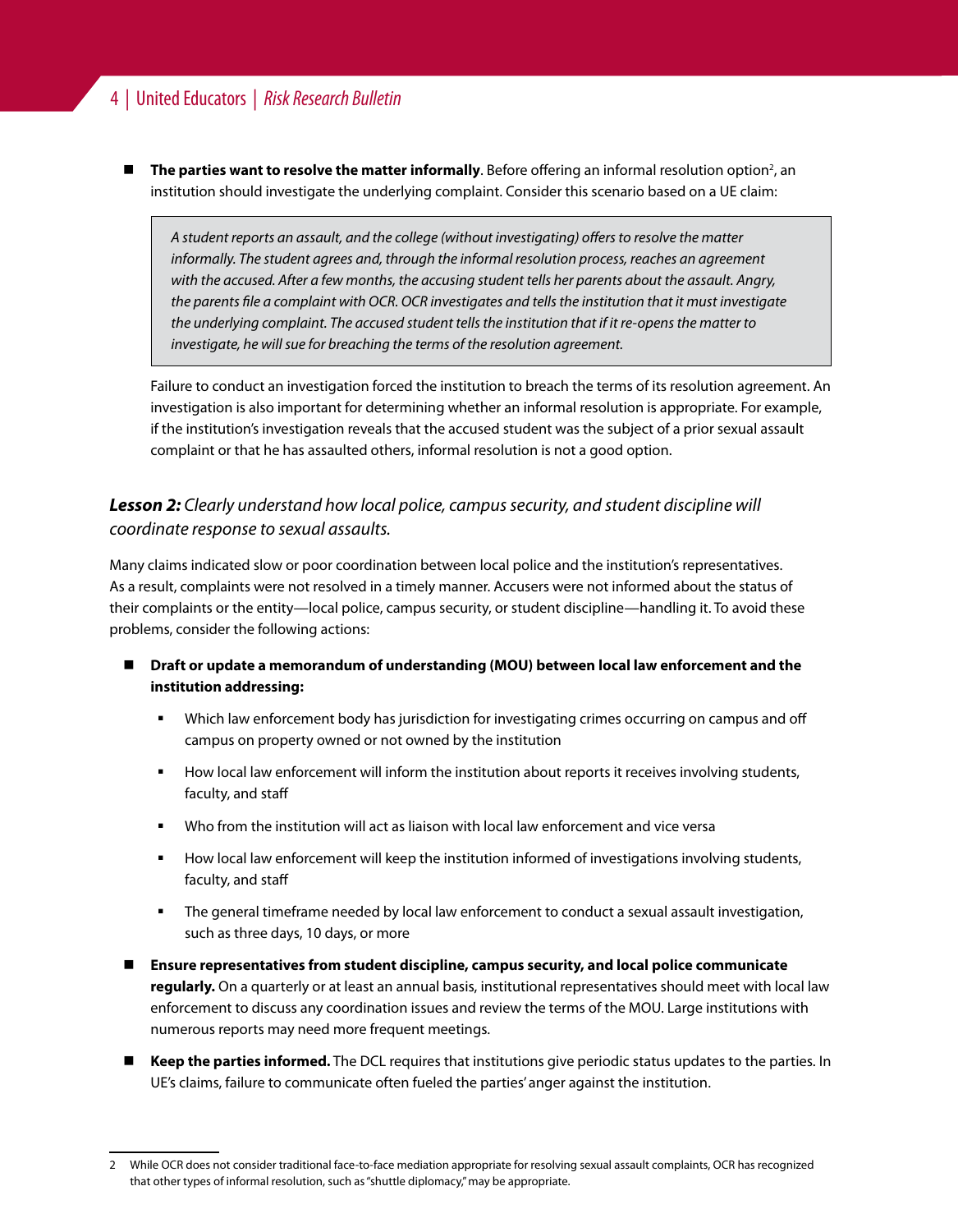## 4 | United Educators | *Risk Research Bulletin*

■ The parties want to resolve the matter informally. Before offering an informal resolution option<sup>2</sup>, an institution should investigate the underlying complaint. Consider this scenario based on a UE claim:

*A student reports an assault, and the college (without investigating) offers to resolve the matter informally. The student agrees and, through the informal resolution process, reaches an agreement with the accused. After a few months, the accusing student tells her parents about the assault. Angry, the parents file a complaint with OCR. OCR investigates and tells the institution that it must investigate the underlying complaint. The accused student tells the institution that if it re-opens the matter to investigate, he will sue for breaching the terms of the resolution agreement.*

Failure to conduct an investigation forced the institution to breach the terms of its resolution agreement. An investigation is also important for determining whether an informal resolution is appropriate. For example, if the institution's investigation reveals that the accused student was the subject of a prior sexual assault complaint or that he has assaulted others, informal resolution is not a good option.

## *Lesson 2: Clearly understand how local police, campus security, and student discipline will coordinate response to sexual assaults.*

Many claims indicated slow or poor coordination between local police and the institution's representatives. As a result, complaints were not resolved in a timely manner. Accusers were not informed about the status of their complaints or the entity—local police, campus security, or student discipline—handling it. To avoid these problems, consider the following actions:

- **Draft or update a memorandum of understanding (MOU) between local law enforcement and the institution addressing:**
	- Which law enforcement body has jurisdiction for investigating crimes occurring on campus and off campus on property owned or not owned by the institution
	- How local law enforcement will inform the institution about reports it receives involving students, faculty, and staff
	- Who from the institution will act as liaison with local law enforcement and vice versa
	- How local law enforcement will keep the institution informed of investigations involving students, faculty, and staff
	- The general timeframe needed by local law enforcement to conduct a sexual assault investigation, such as three days, 10 days, or more
- **Ensure representatives from student discipline, campus security, and local police communicate regularly.** On a quarterly or at least an annual basis, institutional representatives should meet with local law enforcement to discuss any coordination issues and review the terms of the MOU. Large institutions with numerous reports may need more frequent meetings.
- **Keep the parties informed.** The DCL requires that institutions give periodic status updates to the parties. In UE's claims, failure to communicate often fueled the parties' anger against the institution.

<sup>2</sup> While OCR does not consider traditional face-to-face mediation appropriate for resolving sexual assault complaints, OCR has recognized that other types of informal resolution, such as "shuttle diplomacy," may be appropriate.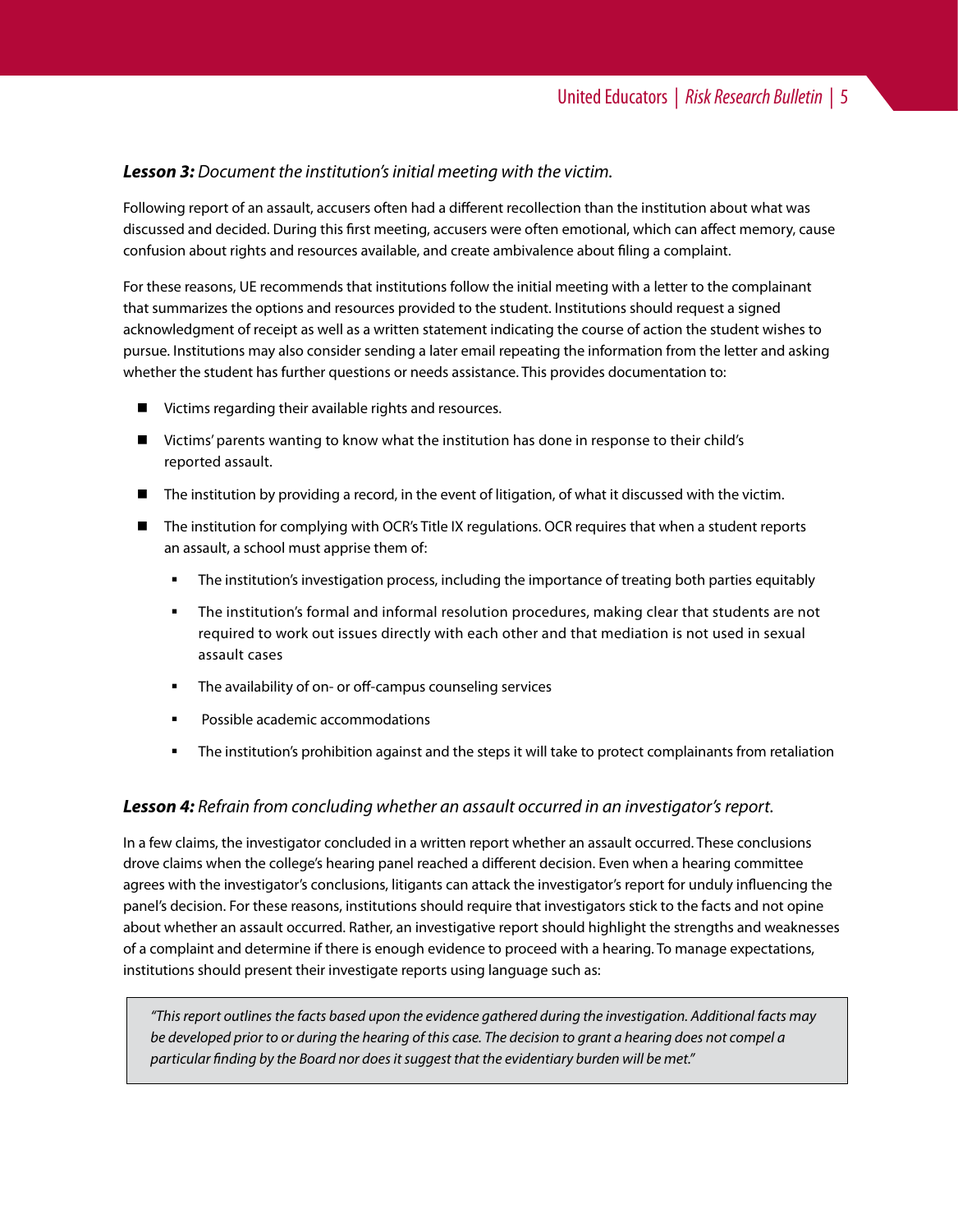## *Lesson 3: Document the institution's initial meeting with the victim.*

Following report of an assault, accusers often had a different recollection than the institution about what was discussed and decided. During this first meeting, accusers were often emotional, which can affect memory, cause confusion about rights and resources available, and create ambivalence about filing a complaint.

For these reasons, UE recommends that institutions follow the initial meeting with a letter to the complainant that summarizes the options and resources provided to the student. Institutions should request a signed acknowledgment of receipt as well as a written statement indicating the course of action the student wishes to pursue. Institutions may also consider sending a later email repeating the information from the letter and asking whether the student has further questions or needs assistance. This provides documentation to:

- Victims regarding their available rights and resources.
- Victims' parents wanting to know what the institution has done in response to their child's reported assault.
- The institution by providing a record, in the event of litigation, of what it discussed with the victim.
- The institution for complying with OCR's Title IX regulations. OCR requires that when a student reports an assault, a school must apprise them of:
	- The institution's investigation process, including the importance of treating both parties equitably
	- The institution's formal and informal resolution procedures, making clear that students are not required to work out issues directly with each other and that mediation is not used in sexual assault cases
	- **The availability of on- or off-campus counseling services**
	- Possible academic accommodations
	- **F** The institution's prohibition against and the steps it will take to protect complainants from retaliation

#### *Lesson 4: Refrain from concluding whether an assault occurred in an investigator's report.*

In a few claims, the investigator concluded in a written report whether an assault occurred. These conclusions drove claims when the college's hearing panel reached a different decision. Even when a hearing committee agrees with the investigator's conclusions, litigants can attack the investigator's report for unduly influencing the panel's decision. For these reasons, institutions should require that investigators stick to the facts and not opine about whether an assault occurred. Rather, an investigative report should highlight the strengths and weaknesses of a complaint and determine if there is enough evidence to proceed with a hearing. To manage expectations, institutions should present their investigate reports using language such as:

*"This report outlines the facts based upon the evidence gathered during the investigation. Additional facts may be developed prior to or during the hearing of this case. The decision to grant a hearing does not compel a particular finding by the Board nor does it suggest that the evidentiary burden will be met."*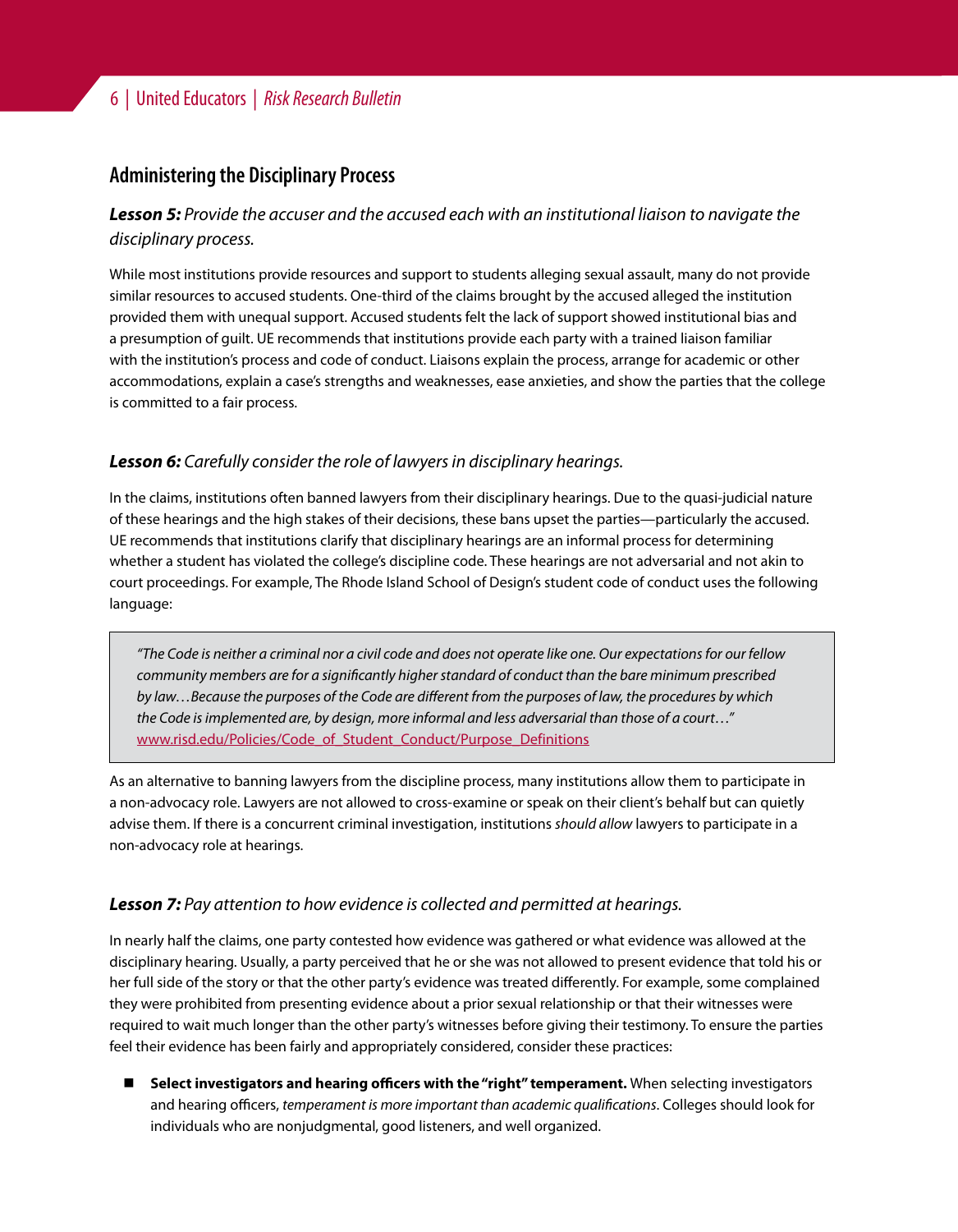## **Administering the Disciplinary Process**

*Lesson 5: Provide the accuser and the accused each with an institutional liaison to navigate the disciplinary process.*

While most institutions provide resources and support to students alleging sexual assault, many do not provide similar resources to accused students. One-third of the claims brought by the accused alleged the institution provided them with unequal support. Accused students felt the lack of support showed institutional bias and a presumption of guilt. UE recommends that institutions provide each party with a trained liaison familiar with the institution's process and code of conduct. Liaisons explain the process, arrange for academic or other accommodations, explain a case's strengths and weaknesses, ease anxieties, and show the parties that the college is committed to a fair process.

## *Lesson 6: Carefully consider the role of lawyers in disciplinary hearings.*

In the claims, institutions often banned lawyers from their disciplinary hearings. Due to the quasi-judicial nature of these hearings and the high stakes of their decisions, these bans upset the parties—particularly the accused. UE recommends that institutions clarify that disciplinary hearings are an informal process for determining whether a student has violated the college's discipline code. These hearings are not adversarial and not akin to court proceedings. For example, The Rhode Island School of Design's student code of conduct uses the following language:

*"The Code is neither a criminal nor a civil code and does not operate like one. Our expectations for our fellow community members are for a significantly higher standard of conduct than the bare minimum prescribed by law…Because the purposes of the Code are different from the purposes of law, the procedures by which the Code is implemented are, by design, more informal and less adversarial than those of a court…"* [www.risd.edu/Policies/Code\\_of\\_Student\\_Conduct/Purpose\\_Definitions](http://www.risd.edu/Policies/Code_of_Student_Conduct/Purpose_Definitions/)

As an alternative to banning lawyers from the discipline process, many institutions allow them to participate in a non-advocacy role. Lawyers are not allowed to cross-examine or speak on their client's behalf but can quietly advise them. If there is a concurrent criminal investigation, institutions *should allow* lawyers to participate in a non-advocacy role at hearings.

## *Lesson 7: Pay attention to how evidence is collected and permitted at hearings.*

In nearly half the claims, one party contested how evidence was gathered or what evidence was allowed at the disciplinary hearing. Usually, a party perceived that he or she was not allowed to present evidence that told his or her full side of the story or that the other party's evidence was treated differently. For example, some complained they were prohibited from presenting evidence about a prior sexual relationship or that their witnesses were required to wait much longer than the other party's witnesses before giving their testimony. To ensure the parties feel their evidence has been fairly and appropriately considered, consider these practices:

 **Select investigators and hearing officers with the "right" temperament.** When selecting investigators and hearing officers, *temperament is more important than academic qualifications*. Colleges should look for individuals who are nonjudgmental, good listeners, and well organized.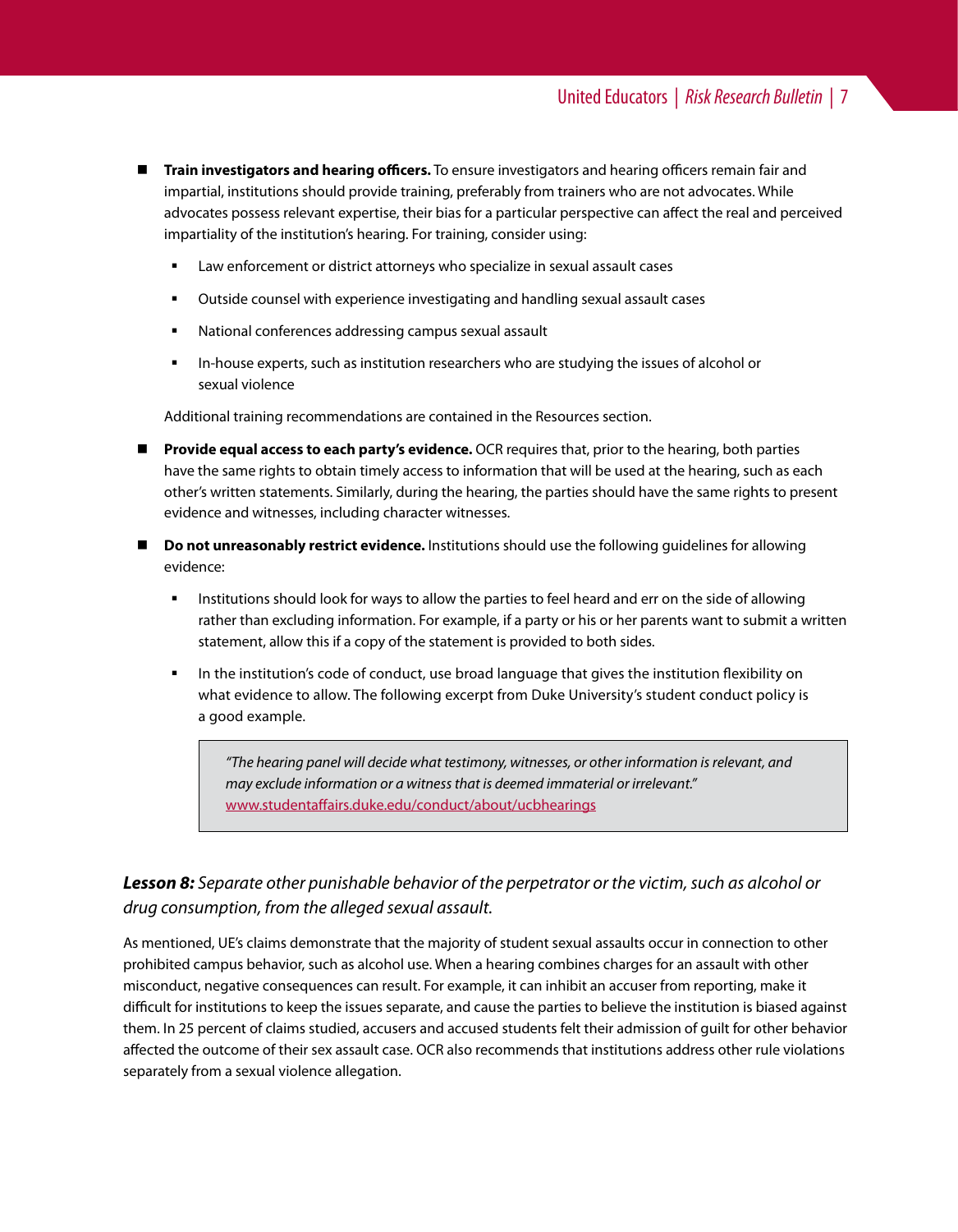- **Train investigators and hearing officers.** To ensure investigators and hearing officers remain fair and impartial, institutions should provide training, preferably from trainers who are not advocates. While advocates possess relevant expertise, their bias for a particular perspective can affect the real and perceived impartiality of the institution's hearing. For training, consider using:
	- Law enforcement or district attorneys who specialize in sexual assault cases
	- Outside counsel with experience investigating and handling sexual assault cases
	- National conferences addressing campus sexual assault
	- In-house experts, such as institution researchers who are studying the issues of alcohol or sexual violence

Additional training recommendations are contained in the [Resources](#page-9-0) section.

- **Provide equal access to each party's evidence.** OCR requires that, prior to the hearing, both parties have the same rights to obtain timely access to information that will be used at the hearing, such as each other's written statements. Similarly, during the hearing, the parties should have the same rights to present evidence and witnesses, including character witnesses.
- **Do not unreasonably restrict evidence.** Institutions should use the following guidelines for allowing evidence:
	- **Institutions should look for ways to allow the parties to feel heard and err on the side of allowing** rather than excluding information. For example, if a party or his or her parents want to submit a written statement, allow this if a copy of the statement is provided to both sides.
	- In the institution's code of conduct, use broad language that gives the institution flexibility on what evidence to allow. The following excerpt from Duke University's student conduct policy is a good example.

*"The hearing panel will decide what testimony, witnesses, or other information is relevant, and may exclude information or a witness that is deemed immaterial or irrelevant."* [www.studentaffairs.duke.edu/conduct/about/ucbhearings](http://www.studentaffairs.duke.edu/conduct/about/ucbhearings)

## *Lesson 8: Separate other punishable behavior of the perpetrator or the victim, such as alcohol or drug consumption, from the alleged sexual assault.*

As mentioned, UE's claims demonstrate that the majority of student sexual assaults occur in connection to other prohibited campus behavior, such as alcohol use. When a hearing combines charges for an assault with other misconduct, negative consequences can result. For example, it can inhibit an accuser from reporting, make it difficult for institutions to keep the issues separate, and cause the parties to believe the institution is biased against them. In 25 percent of claims studied, accusers and accused students felt their admission of guilt for other behavior affected the outcome of their sex assault case. OCR also recommends that institutions address other rule violations separately from a sexual violence allegation.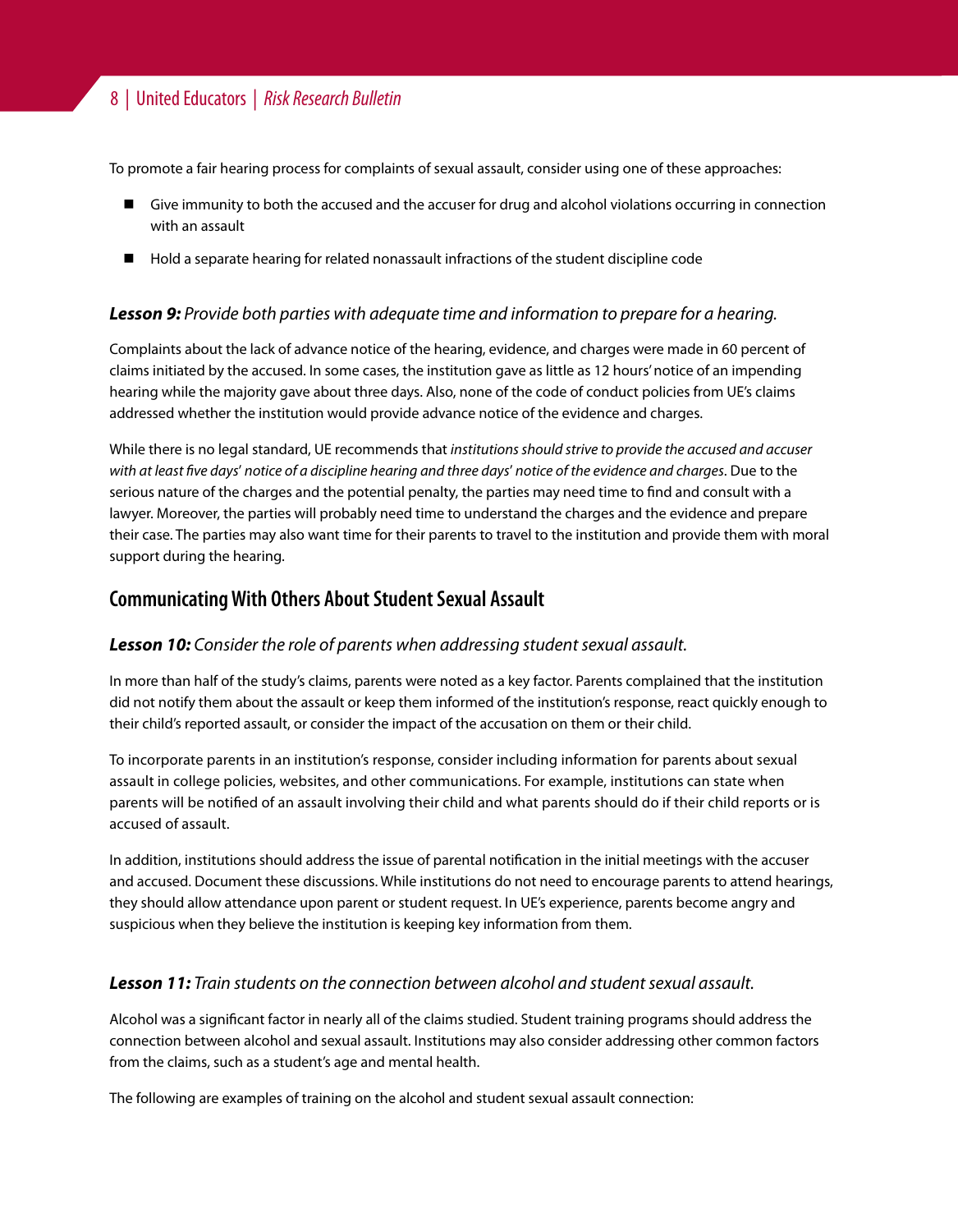To promote a fair hearing process for complaints of sexual assault, consider using one of these approaches:

- **E** Give immunity to both the accused and the accuser for drug and alcohol violations occurring in connection with an assault
- **Hold a separate hearing for related nonassault infractions of the student discipline code**

## *Lesson 9: Provide both parties with adequate time and information to prepare for a hearing.*

Complaints about the lack of advance notice of the hearing, evidence, and charges were made in 60 percent of claims initiated by the accused. In some cases, the institution gave as little as 12 hours' notice of an impending hearing while the majority gave about three days. Also, none of the code of conduct policies from UE's claims addressed whether the institution would provide advance notice of the evidence and charges.

While there is no legal standard, UE recommends that *institutions should strive to provide the accused and accuser with at least five days*' *notice of a discipline hearing and three days*' *notice of the evidence and charges*. Due to the serious nature of the charges and the potential penalty, the parties may need time to find and consult with a lawyer. Moreover, the parties will probably need time to understand the charges and the evidence and prepare their case. The parties may also want time for their parents to travel to the institution and provide them with moral support during the hearing.

## **Communicating With Others About Student Sexual Assault**

## *Lesson 10: Consider the role of parents when addressing student sexual assault.*

In more than half of the study's claims, parents were noted as a key factor. Parents complained that the institution did not notify them about the assault or keep them informed of the institution's response, react quickly enough to their child's reported assault, or consider the impact of the accusation on them or their child.

To incorporate parents in an institution's response, consider including information for parents about sexual assault in college policies, websites, and other communications. For example, institutions can state when parents will be notified of an assault involving their child and what parents should do if their child reports or is accused of assault.

In addition, institutions should address the issue of parental notification in the initial meetings with the accuser and accused. Document these discussions. While institutions do not need to encourage parents to attend hearings, they should allow attendance upon parent or student request. In UE's experience, parents become angry and suspicious when they believe the institution is keeping key information from them.

### *Lesson 11: Train students on the connection between alcohol and student sexual assault.*

Alcohol was a significant factor in nearly all of the claims studied. Student training programs should address the connection between alcohol and sexual assault. Institutions may also consider addressing other common factors from the claims, such as a student's age and mental health.

The following are examples of training on the alcohol and student sexual assault connection: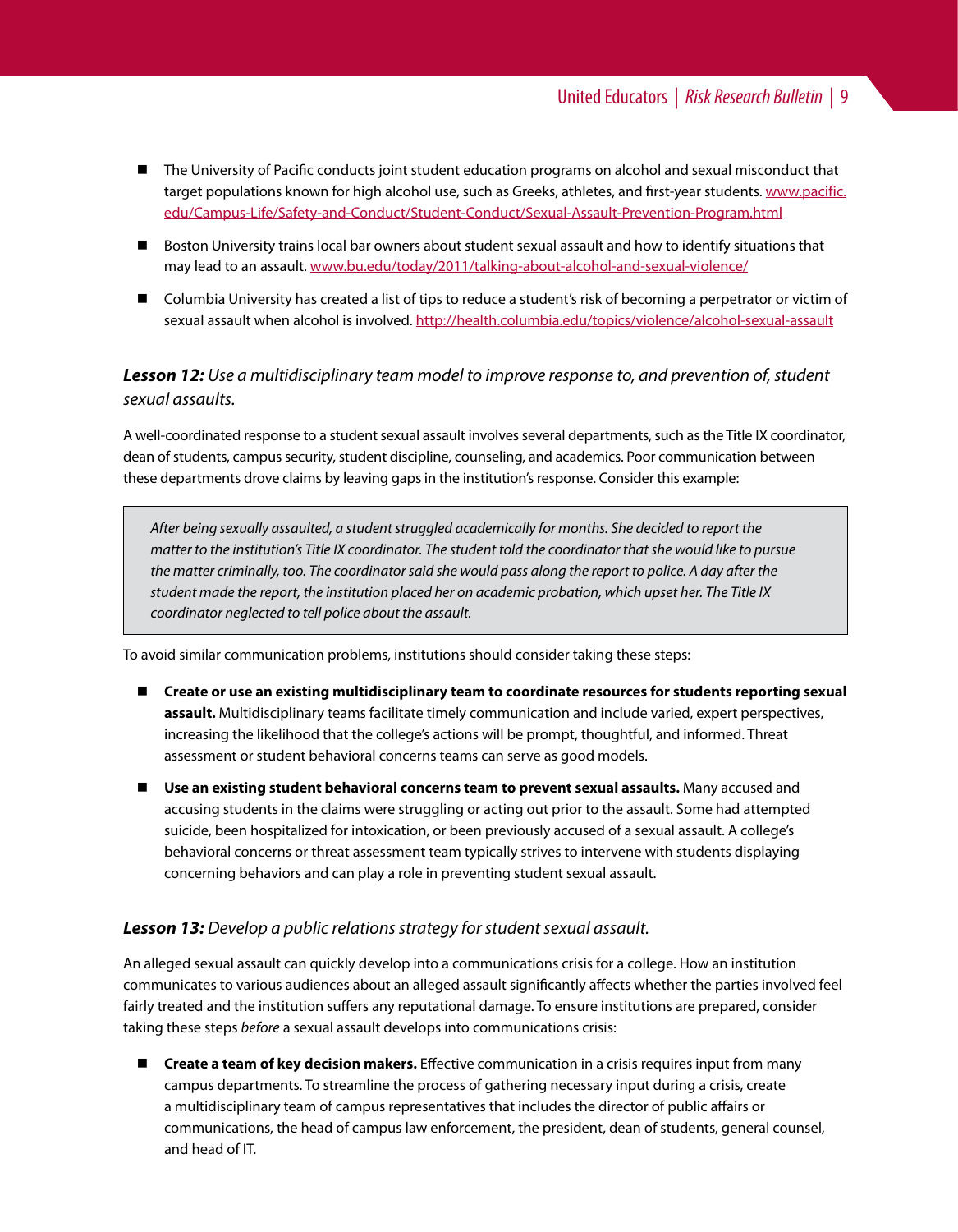- The University of Pacific conducts joint student education programs on alcohol and sexual misconduct that target populations known for high alcohol use, such as Greeks, athletes, and first-year students. [www.pacific.](http://www.pacific.edu/Campus-Life/Safety-and-Conduct/Student-Conduct/Sexual-Assault-Prevention-Program.html) [edu/Campus-Life/Safety-and-Conduct/Student-Conduct/Sexual-Assault-Prevention-Program.html](http://www.pacific.edu/Campus-Life/Safety-and-Conduct/Student-Conduct/Sexual-Assault-Prevention-Program.html)
- Boston University trains local bar owners about student sexual assault and how to identify situations that may lead to an assault. [www.bu.edu/today/2011/talking-about-alcohol-and-sexual-violence/](http://www.bu.edu/today/2011/talking-about-alcohol-and-sexual-violence/)
- Columbia University has created a list of tips to reduce a student's risk of becoming a perpetrator or victim of sexual assault when alcohol is involved. <http://health.columbia.edu/topics/violence/alcohol-sexual-assault>

*Lesson 12: Use a multidisciplinary team model to improve response to, and prevention of, student sexual assaults.*

A well-coordinated response to a student sexual assault involves several departments, such as the Title IX coordinator, dean of students, campus security, student discipline, counseling, and academics. Poor communication between these departments drove claims by leaving gaps in the institution's response. Consider this example:

*After being sexually assaulted, a student struggled academically for months. She decided to report the matter to the institution's Title IX coordinator. The student told the coordinator that she would like to pursue the matter criminally, too. The coordinator said she would pass along the report to police. A day after the student made the report, the institution placed her on academic probation, which upset her. The Title IX coordinator neglected to tell police about the assault.* 

To avoid similar communication problems, institutions should consider taking these steps:

- **Create or use an existing multidisciplinary team to coordinate resources for students reporting sexual assault.** Multidisciplinary teams facilitate timely communication and include varied, expert perspectives, increasing the likelihood that the college's actions will be prompt, thoughtful, and informed. Threat assessment or student behavioral concerns teams can serve as good models.
- Use an existing student behavioral concerns team to prevent sexual assaults. Many accused and accusing students in the claims were struggling or acting out prior to the assault. Some had attempted suicide, been hospitalized for intoxication, or been previously accused of a sexual assault. A college's behavioral concerns or threat assessment team typically strives to intervene with students displaying concerning behaviors and can play a role in preventing student sexual assault.

#### *Lesson 13: Develop a public relations strategy for student sexual assault.*

An alleged sexual assault can quickly develop into a communications crisis for a college. How an institution communicates to various audiences about an alleged assault significantly affects whether the parties involved feel fairly treated and the institution suffers any reputational damage. To ensure institutions are prepared, consider taking these steps *before* a sexual assault develops into communications crisis:

 **Create a team of key decision makers.** Effective communication in a crisis requires input from many campus departments. To streamline the process of gathering necessary input during a crisis, create a multidisciplinary team of campus representatives that includes the director of public affairs or communications, the head of campus law enforcement, the president, dean of students, general counsel, and head of IT.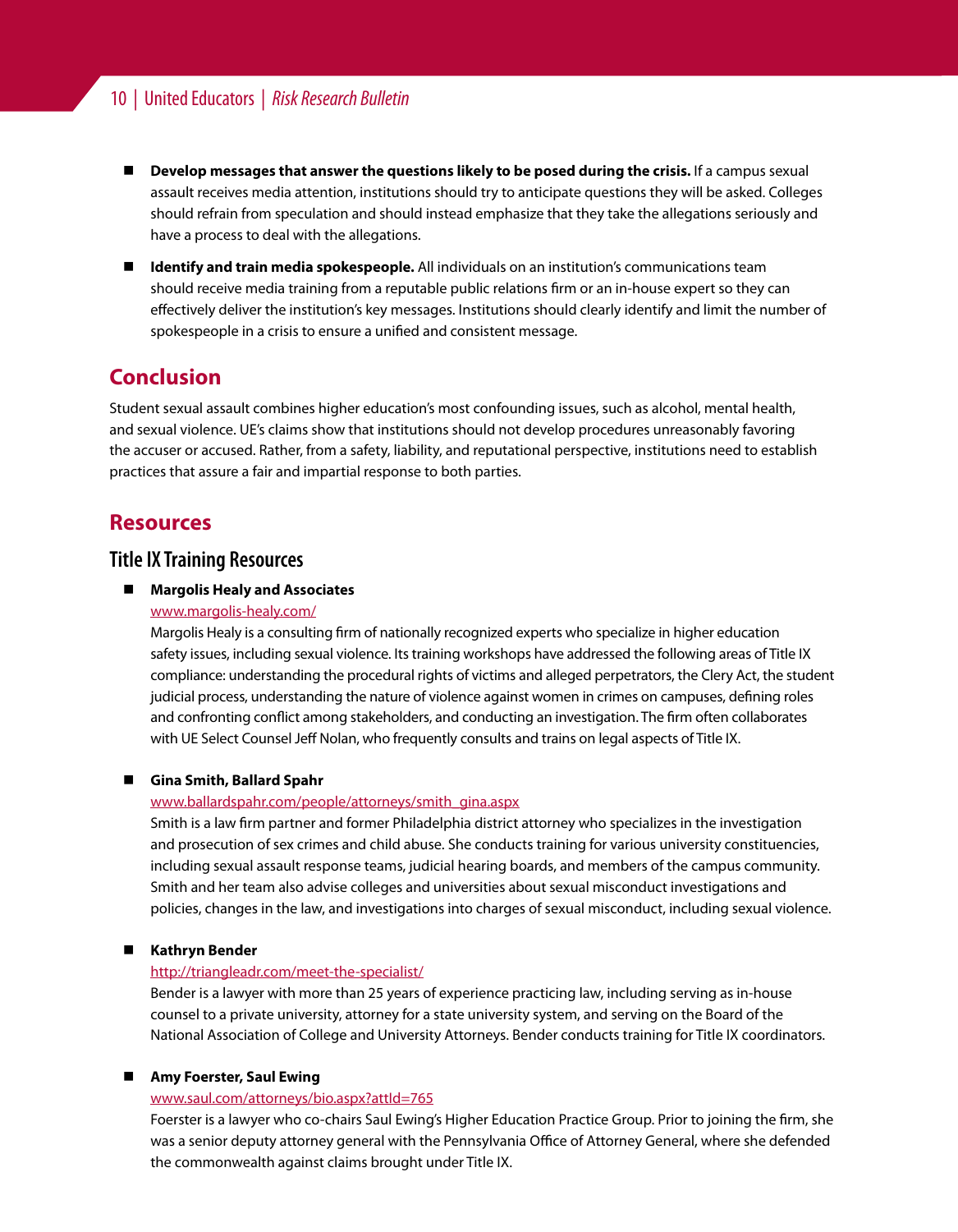## <span id="page-9-0"></span>10 | United Educators | *Risk Research Bulletin*

- **Develop messages that answer the questions likely to be posed during the crisis. If a campus sexual** assault receives media attention, institutions should try to anticipate questions they will be asked. Colleges should refrain from speculation and should instead emphasize that they take the allegations seriously and have a process to deal with the allegations.
- **Identify and train media spokespeople.** All individuals on an institution's communications team should receive media training from a reputable public relations firm or an in-house expert so they can effectively deliver the institution's key messages. Institutions should clearly identify and limit the number of spokespeople in a crisis to ensure a unified and consistent message.

## **Conclusion**

Student sexual assault combines higher education's most confounding issues, such as alcohol, mental health, and sexual violence. UE's claims show that institutions should not develop procedures unreasonably favoring the accuser or accused. Rather, from a safety, liability, and reputational perspective, institutions need to establish practices that assure a fair and impartial response to both parties.

## **Resources**

## **Title IX Training Resources**

#### ■ Margolis Healy and Associates

#### [www.margolis-healy.com/](http://www.margolis-healy.com/)

Margolis Healy is a consulting firm of nationally recognized experts who specialize in higher education safety issues, including sexual violence. Its training workshops have addressed the following areas of Title IX compliance: understanding the procedural rights of victims and alleged perpetrators, the Clery Act, the student judicial process, understanding the nature of violence against women in crimes on campuses, defining roles and confronting conflict among stakeholders, and conducting an investigation. The firm often collaborates with UE Select Counsel Jeff Nolan, who frequently consults and trains on legal aspects of Title IX.

#### **Gina Smith, Ballard Spahr**

#### [www.ballardspahr.com/people/attorneys/smith\\_gina.aspx](http://www.ballardspahr.com/people/attorneys/smith_gina.aspx)

Smith is a law firm partner and former Philadelphia district attorney who specializes in the investigation and prosecution of sex crimes and child abuse. She conducts training for various university constituencies, including sexual assault response teams, judicial hearing boards, and members of the campus community. Smith and her team also advise colleges and universities about sexual misconduct investigations and policies, changes in the law, and investigations into charges of sexual misconduct, including sexual violence.

#### **Kathryn Bender**

#### <http://triangleadr.com/meet-the-specialist/>

Bender is a lawyer with more than 25 years of experience practicing law, including serving as in-house counsel to a private university, attorney for a state university system, and serving on the Board of the National Association of College and University Attorneys. Bender conducts training for Title IX coordinators.

#### **Amy Foerster, Saul Ewing**

#### [www.saul.com/attorneys/bio.aspx?attId=765](http://www.saul.com/attorneys/bio.aspx?attId=765)

Foerster is a lawyer who co-chairs Saul Ewing's Higher Education Practice Group. Prior to joining the firm, she was a senior deputy attorney general with the Pennsylvania Office of Attorney General, where she defended the commonwealth against claims brought under Title IX.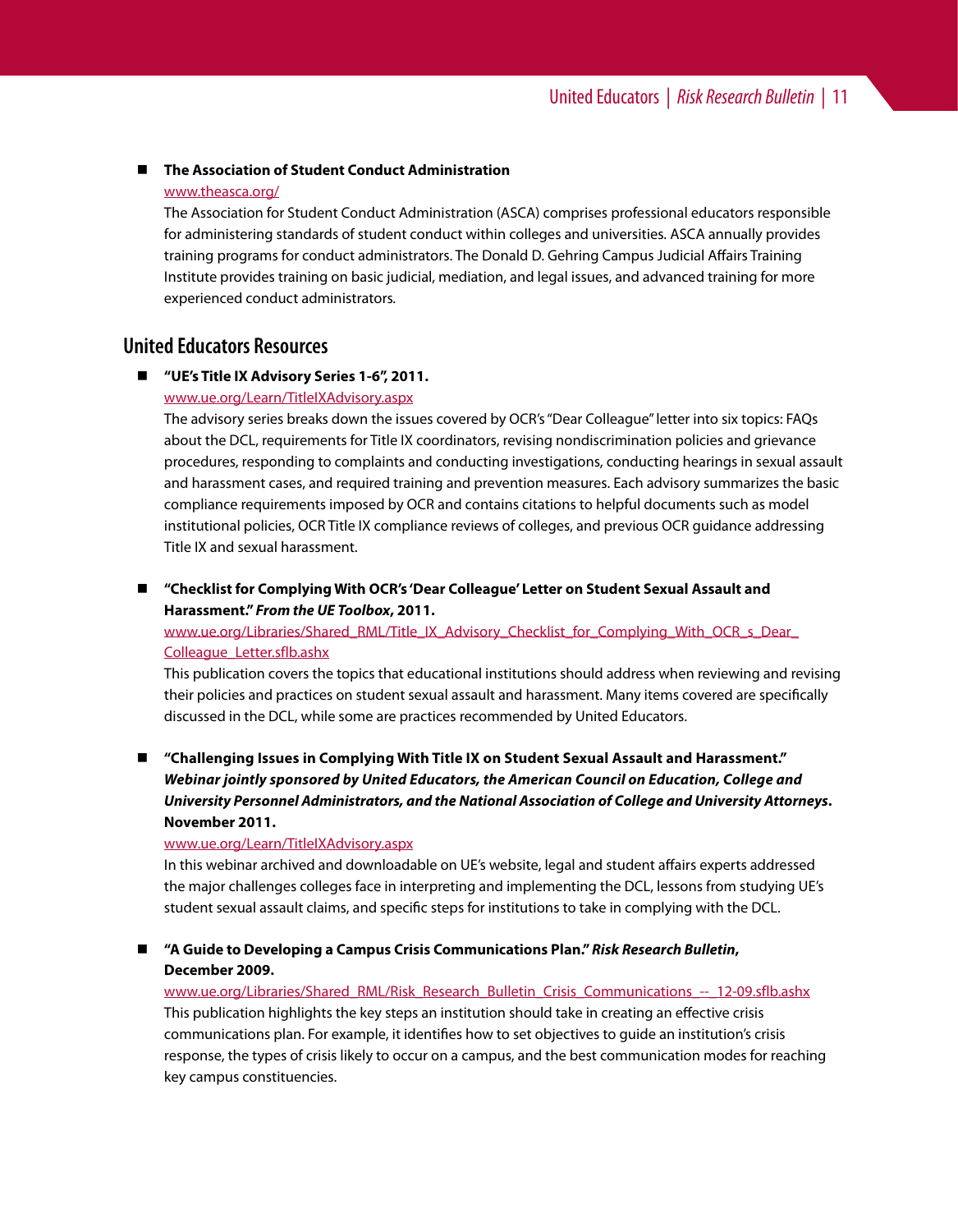#### **The Association of Student Conduct Administration**

#### [www.theasca.org/](http://www.theasca.org/)

The Association for Student Conduct Administration (ASCA) comprises professional educators responsible for administering standards of student conduct within colleges and universities. ASCA annually provides training programs for conduct administrators. The Donald D. Gehring Campus Judicial Affairs Training Institute provides training on basic judicial, mediation, and legal issues, and advanced training for more experienced conduct administrators*.*

## **United Educators Resources**

#### **"UE's Title IX Advisory Series 1-6", 2011.**

#### [www.ue.org/Learn/TitleIXAdvisory.aspx](https://www.ue.org/Learn/TitleIXAdvisory.aspx)

The advisory series breaks down the issues covered by OCR's "Dear Colleague" letter into six topics: FAQs about the DCL, requirements for Title IX coordinators, revising nondiscrimination policies and grievance procedures, responding to complaints and conducting investigations, conducting hearings in sexual assault and harassment cases, and required training and prevention measures. Each advisory summarizes the basic compliance requirements imposed by OCR and contains citations to helpful documents such as model institutional policies, OCR Title IX compliance reviews of colleges, and previous OCR guidance addressing Title IX and sexual harassment.

#### **"Checklist for Complying With OCR's 'Dear Colleague' Letter on Student Sexual Assault and Harassment."** *From the UE Toolbox***, 2011.**

[www.ue.org/Libraries/Shared\\_RML/Title\\_IX\\_Advisory\\_Checklist\\_for\\_Complying\\_With\\_OCR\\_s\\_Dear\\_](https://www.ue.org/Libraries/Shared_RML/Title_IX_Advisory_Checklist_for_Complying_With_OCR_s_Dear_Colleague_Letter.sflb.ashx) [Colleague\\_Letter.sflb.ashx](https://www.ue.org/Libraries/Shared_RML/Title_IX_Advisory_Checklist_for_Complying_With_OCR_s_Dear_Colleague_Letter.sflb.ashx)

This publication covers the topics that educational institutions should address when reviewing and revising their policies and practices on student sexual assault and harassment. Many items covered are specifically discussed in the DCL, while some are practices recommended by United Educators.

 **"Challenging Issues in Complying With Title IX on Student Sexual Assault and Harassment."**  *Webinar jointly sponsored by United Educators, the American Council on Education, College and University Personnel Administrators, and the National Association of College and University Attorneys***. November 2011.**

#### [www.ue.org/Learn/TitleIXAdvisory.aspx](https://www.ue.org/Learn/TitleIXAdvisory.aspx)

In this webinar archived and downloadable on UE's website, legal and student affairs experts addressed the major challenges colleges face in interpreting and implementing the DCL, lessons from studying UE's student sexual assault claims, and specific steps for institutions to take in complying with the DCL.

 **"A Guide to Developing a Campus Crisis Communications Plan."** *Risk Research Bulletin***, December 2009.**

www.ue.org/Libraries/Shared\_RML/Risk\_Research\_Bulletin\_Crisis\_Communications -- 12-09.sflb.ashx This publication highlights the key steps an institution should take in creating an effective crisis communications plan. For example, it identifies how to set objectives to guide an institution's crisis response, the types of crisis likely to occur on a campus, and the best communication modes for reaching key campus constituencies.